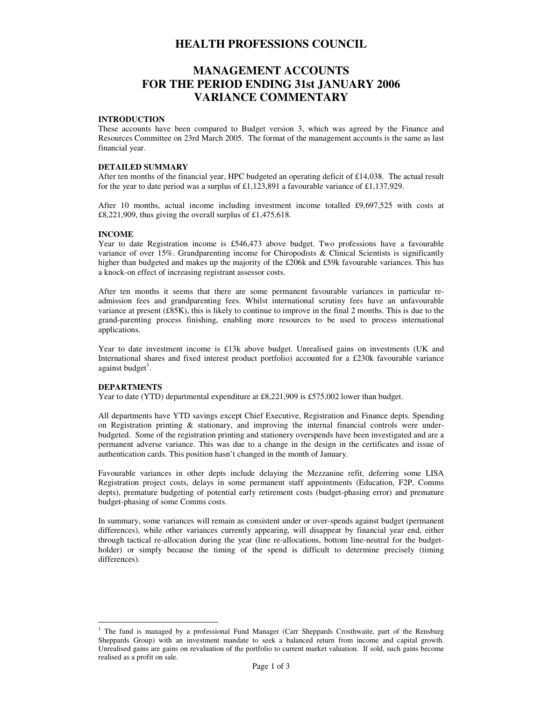# **HEALTH PROFESSIONS COUNCIL**

# **MANAGEMENT ACCOUNTS FOR THE PERIOD ENDING 31st JANUARY 2006 VARIANCE COMMENTARY**

#### **INTRODUCTION**

These accounts have been compared to Budget version 3, which was agreed by the Finance and Resources Committee on 23rd March 2005. The format of the management accounts is the same as last financial year.

# **DETAILED SUMMARY**

After ten months of the financial year, HPC budgeted an operating deficit of £14,038. The actual result for the year to date period was a surplus of £1,123,891 a favourable variance of £1,137,929.

After 10 months, actual income including investment income totalled £9,697,525 with costs at £8,221,909, thus giving the overall surplus of £1,475,618.

#### **INCOME**

Year to date Registration income is £546,473 above budget. Two professions have a favourable variance of over 15%. Grandparenting income for Chiropodists & Clinical Scientists is significantly higher than budgeted and makes up the majority of the £206k and £59k favourable variances. This has a knock-on effect of increasing registrant assessor costs.

After ten months it seems that there are some permanent favourable variances in particular readmission fees and grandparenting fees. Whilst international scrutiny fees have an unfavourable variance at present (£85K), this is likely to continue to improve in the final 2 months. This is due to the grand-parenting process finishing, enabling more resources to be used to process international applications.

Year to date investment income is £13k above budget. Unrealised gains on investments (UK and International shares and fixed interest product portfolio) accounted for a £230k favourable variance against budget<sup>1</sup>.

## **DEPARTMENTS**

Year to date (YTD) departmental expenditure at £8,221,909 is £575,002 lower than budget.

All departments have YTD savings except Chief Executive, Registration and Finance depts. Spending on Registration printing  $\&$  stationary, and improving the internal financial controls were underbudgeted. Some of the registration printing and stationery overspends have been investigated and are a permanent adverse variance. This was due to a change in the design in the certificates and issue of authentication cards. This position hasn't changed in the month of January.

Favourable variances in other depts include delaying the Mezzanine refit, deferring some LISA Registration project costs, delays in some permanent staff appointments (Education, F2P, Comms depts), premature budgeting of potential early retirement costs (budget-phasing error) and premature budget-phasing of some Comms costs.

In summary, some variances will remain as consistent under or over-spends against budget (permanent differences), while other variances currently appearing, will disappear by financial year end, either through tactical re-allocation during the year (line re-allocations, bottom line-neutral for the budgetholder) or simply because the timing of the spend is difficult to determine precisely (timing differences).

 $\overline{a}$ <sup>1</sup> The fund is managed by a professional Fund Manager (Carr Sheppards Crosthwaite, part of the Rensburg Sheppards Group) with an investment mandate to seek a balanced return from income and capital growth. Unrealised gains are gains on revaluation of the portfolio to current market valuation. If sold, such gains become realised as a profit on sale.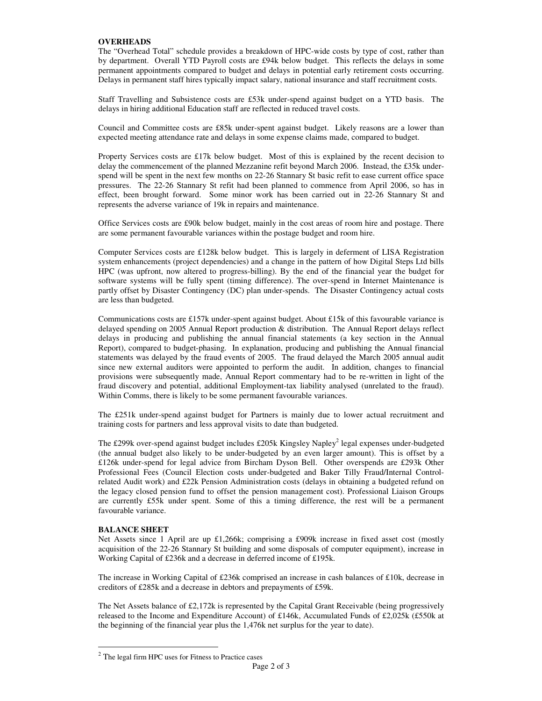#### **OVERHEADS**

The "Overhead Total" schedule provides a breakdown of HPC-wide costs by type of cost, rather than by department. Overall YTD Payroll costs are £94k below budget. This reflects the delays in some permanent appointments compared to budget and delays in potential early retirement costs occurring. Delays in permanent staff hires typically impact salary, national insurance and staff recruitment costs.

Staff Travelling and Subsistence costs are £53k under-spend against budget on a YTD basis. The delays in hiring additional Education staff are reflected in reduced travel costs.

Council and Committee costs are £85k under-spent against budget. Likely reasons are a lower than expected meeting attendance rate and delays in some expense claims made, compared to budget.

Property Services costs are £17k below budget. Most of this is explained by the recent decision to delay the commencement of the planned Mezzanine refit beyond March 2006. Instead, the £35k underspend will be spent in the next few months on 22-26 Stannary St basic refit to ease current office space pressures. The 22-26 Stannary St refit had been planned to commence from April 2006, so has in effect, been brought forward. Some minor work has been carried out in 22-26 Stannary St and represents the adverse variance of 19k in repairs and maintenance.

Office Services costs are £90k below budget, mainly in the cost areas of room hire and postage. There are some permanent favourable variances within the postage budget and room hire.

Computer Services costs are £128k below budget. This is largely in deferment of LISA Registration system enhancements (project dependencies) and a change in the pattern of how Digital Steps Ltd bills HPC (was upfront, now altered to progress-billing). By the end of the financial year the budget for software systems will be fully spent (timing difference). The over-spend in Internet Maintenance is partly offset by Disaster Contingency (DC) plan under-spends. The Disaster Contingency actual costs are less than budgeted.

Communications costs are £157k under-spent against budget. About £15k of this favourable variance is delayed spending on 2005 Annual Report production & distribution. The Annual Report delays reflect delays in producing and publishing the annual financial statements (a key section in the Annual Report), compared to budget-phasing. In explanation, producing and publishing the Annual financial statements was delayed by the fraud events of 2005. The fraud delayed the March 2005 annual audit since new external auditors were appointed to perform the audit. In addition, changes to financial provisions were subsequently made, Annual Report commentary had to be re-written in light of the fraud discovery and potential, additional Employment-tax liability analysed (unrelated to the fraud). Within Comms, there is likely to be some permanent favourable variances.

The £251k under-spend against budget for Partners is mainly due to lower actual recruitment and training costs for partners and less approval visits to date than budgeted.

The £299k over-spend against budget includes £205k Kingsley Napley<sup>2</sup> legal expenses under-budgeted (the annual budget also likely to be under-budgeted by an even larger amount). This is offset by a £126k under-spend for legal advice from Bircham Dyson Bell. Other overspends are £293k Other Professional Fees (Council Election costs under-budgeted and Baker Tilly Fraud/Internal Controlrelated Audit work) and £22k Pension Administration costs (delays in obtaining a budgeted refund on the legacy closed pension fund to offset the pension management cost). Professional Liaison Groups are currently £55k under spent. Some of this a timing difference, the rest will be a permanent favourable variance.

## **BALANCE SHEET**

Net Assets since 1 April are up £1,266k; comprising a £909k increase in fixed asset cost (mostly acquisition of the 22-26 Stannary St building and some disposals of computer equipment), increase in Working Capital of £236k and a decrease in deferred income of £195k.

The increase in Working Capital of £236k comprised an increase in cash balances of £10k, decrease in creditors of £285k and a decrease in debtors and prepayments of £59k.

The Net Assets balance of £2,172k is represented by the Capital Grant Receivable (being progressively released to the Income and Expenditure Account) of £146k, Accumulated Funds of £2,025k (£550k at the beginning of the financial year plus the 1,476k net surplus for the year to date).

 $\overline{a}$  $2$  The legal firm HPC uses for Fitness to Practice cases